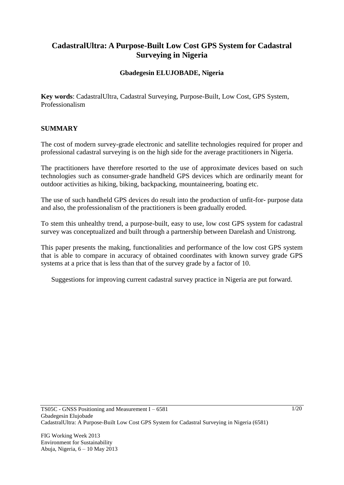# **CadastralUltra: A Purpose-Built Low Cost GPS System for Cadastral Surveying in Nigeria**

## **Gbadegesin ELUJOBADE, Nigeria**

**Key words**: CadastralUltra, Cadastral Surveying, Purpose-Built, Low Cost, GPS System, Professionalism

## **SUMMARY**

The cost of modern survey-grade electronic and satellite technologies required for proper and professional cadastral surveying is on the high side for the average practitioners in Nigeria.

The practitioners have therefore resorted to the use of approximate devices based on such technologies such as consumer-grade handheld GPS devices which are ordinarily meant for outdoor activities as hiking, biking, backpacking, mountaineering, boating etc.

The use of such handheld GPS devices do result into the production of unfit-for- purpose data and also, the professionalism of the practitioners is been gradually eroded.

To stem this unhealthy trend, a purpose-built, easy to use, low cost GPS system for cadastral survey was conceptualized and built through a partnership between Darelash and Unistrong.

This paper presents the making, functionalities and performance of the low cost GPS system that is able to compare in accuracy of obtained coordinates with known survey grade GPS systems at a price that is less than that of the survey grade by a factor of 10.

Suggestions for improving current cadastral survey practice in Nigeria are put forward.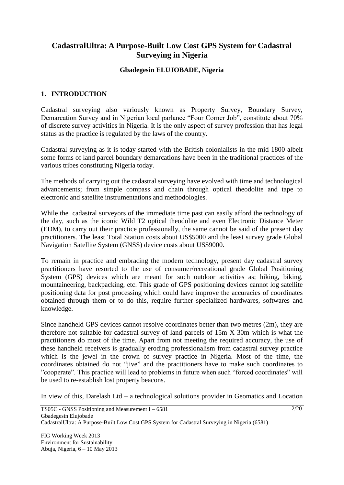# **CadastralUltra: A Purpose-Built Low Cost GPS System for Cadastral Surveying in Nigeria**

#### **Gbadegesin ELUJOBADE, Nigeria**

## **1. INTRODUCTION**

Cadastral surveying also variously known as Property Survey, Boundary Survey, Demarcation Survey and in Nigerian local parlance "Four Corner Job", constitute about 70% of discrete survey activities in Nigeria. It is the only aspect of survey profession that has legal status as the practice is regulated by the laws of the country.

Cadastral surveying as it is today started with the British colonialists in the mid 1800 albeit some forms of land parcel boundary demarcations have been in the traditional practices of the various tribes constituting Nigeria today.

The methods of carrying out the cadastral surveying have evolved with time and technological advancements; from simple compass and chain through optical theodolite and tape to electronic and satellite instrumentations and methodologies.

While the cadastral surveyors of the immediate time past can easily afford the technology of the day, such as the iconic Wild T2 optical theodolite and even Electronic Distance Meter (EDM), to carry out their practice professionally, the same cannot be said of the present day practitioners. The least Total Station costs about US\$5000 and the least survey grade Global Navigation Satellite System (GNSS) device costs about US\$9000.

To remain in practice and embracing the modern technology, present day cadastral survey practitioners have resorted to the use of consumer/recreational grade Global Positioning System (GPS) devices which are meant for such outdoor activities as; hiking, biking, mountaineering, backpacking, etc. This grade of GPS positioning devices cannot log satellite positioning data for post processing which could have improve the accuracies of coordinates obtained through them or to do this, require further specialized hardwares, softwares and knowledge.

Since handheld GPS devices cannot resolve coordinates better than two metres (2m), they are therefore not suitable for cadastral survey of land parcels of 15m X 30m which is what the practitioners do most of the time. Apart from not meeting the required accuracy, the use of these handheld receivers is gradually eroding professionalism from cadastral survey practice which is the jewel in the crown of survey practice in Nigeria. Most of the time, the coordinates obtained do not "jive" and the practitioners have to make such coordinates to "cooperate". This practice will lead to problems in future when such "forced coordinates" will be used to re-establish lost property beacons.

In view of this, Darelash Ltd – a technological solutions provider in Geomatics and Location

FIG Working Week 2013 Environment for Sustainability Abuja, Nigeria, 6 – 10 May 2013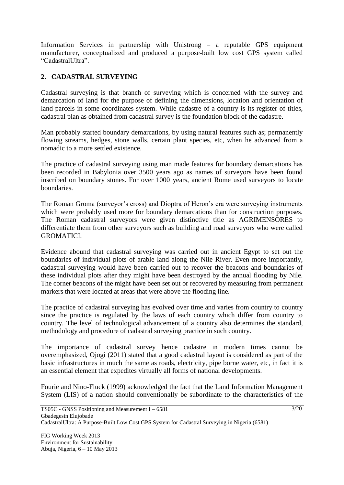Information Services in partnership with Unistrong – a reputable GPS equipment manufacturer, conceptualized and produced a purpose-built low cost GPS system called "CadastralUltra".

# **2. CADASTRAL SURVEYING**

Cadastral surveying is that branch of surveying which is concerned with the survey and demarcation of land for the purpose of defining the dimensions, location and orientation of land parcels in some coordinates system. While cadastre of a country is its register of titles, cadastral plan as obtained from cadastral survey is the foundation block of the cadastre.

Man probably started boundary demarcations, by using natural features such as; permanently flowing streams, hedges, stone walls, certain plant species, etc, when he advanced from a nomadic to a more settled existence.

The practice of cadastral surveying using man made features for boundary demarcations has been recorded in Babylonia over 3500 years ago as names of surveyors have been found inscribed on boundary stones. For over 1000 years, ancient Rome used surveyors to locate boundaries.

The Roman Groma (surveyor's cross) and Dioptra of Heron's era were surveying instruments which were probably used more for boundary demarcations than for construction purposes. The Roman cadastral surveyors were given distinctive title as AGRIMENSORES to differentiate them from other surveyors such as building and road surveyors who were called GROMATICI.

Evidence abound that cadastral surveying was carried out in ancient Egypt to set out the boundaries of individual plots of arable land along the Nile River. Even more importantly, cadastral surveying would have been carried out to recover the beacons and boundaries of these individual plots after they might have been destroyed by the annual flooding by Nile. The corner beacons of the might have been set out or recovered by measuring from permanent markers that were located at areas that were above the flooding line.

The practice of cadastral surveying has evolved over time and varies from country to country since the practice is regulated by the laws of each country which differ from country to country. The level of technological advancement of a country also determines the standard, methodology and procedure of cadastral surveying practice in such country.

The importance of cadastral survey hence cadastre in modern times cannot be overemphasized, Ojogi (2011) stated that a good cadastral layout is considered as part of the basic infrastructures in much the same as roads, electricity, pipe borne water, etc, in fact it is an essential element that expedites virtually all forms of national developments.

Fourie and Nino-Fluck (1999) acknowledged the fact that the Land Information Management System (LIS) of a nation should conventionally be subordinate to the characteristics of the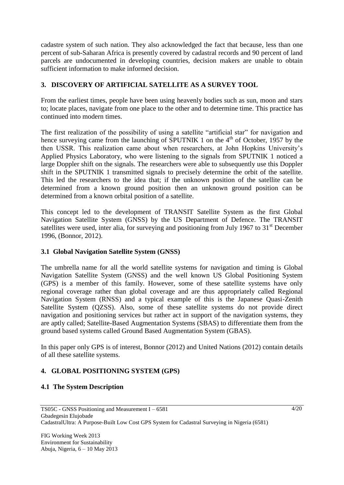cadastre system of such nation. They also acknowledged the fact that because, less than one percent of sub-Saharan Africa is presently covered by cadastral records and 90 percent of land parcels are undocumented in developing countries, decision makers are unable to obtain sufficient information to make informed decision.

## **3. DISCOVERY OF ARTIFICIAL SATELLITE AS A SURVEY TOOL**

From the earliest times, people have been using heavenly bodies such as sun, moon and stars to; locate places, navigate from one place to the other and to determine time. This practice has continued into modern times.

The first realization of the possibility of using a satellite "artificial star" for navigation and hence surveying came from the launching of SPUTNIK 1 on the  $4<sup>th</sup>$  of October, 1957 by the then USSR. This realization came about when researchers, at John Hopkins University's Applied Physics Laboratory, who were listening to the signals from SPUTNIK 1 noticed a large Doppler shift on the signals. The researchers were able to subsequently use this Doppler shift in the SPUTNIK 1 transmitted signals to precisely determine the orbit of the satellite. This led the researchers to the idea that; if the unknown position of the satellite can be determined from a known ground position then an unknown ground position can be determined from a known orbital position of a satellite.

This concept led to the development of TRANSIT Satellite System as the first Global Navigation Satellite System (GNSS) by the US Department of Defence. The TRANSIT satellites were used, inter alia, for surveying and positioning from July 1967 to  $31<sup>st</sup>$  December 1996, (Bonnor, 2012).

## **3.1 Global Navigation Satellite System (GNSS)**

The umbrella name for all the world satellite systems for navigation and timing is Global Navigation Satellite System (GNSS) and the well known US Global Positioning System (GPS) is a member of this family. However, some of these satellite systems have only regional coverage rather than global coverage and are thus appropriately called Regional Navigation System (RNSS) and a typical example of this is the Japanese Quasi-Zenith Satellite System (QZSS). Also, some of these satellite systems do not provide direct navigation and positioning services but rather act in support of the navigation systems, they are aptly called; Satellite-Based Augmentation Systems (SBAS) to differentiate them from the ground based systems called Ground Based Augmentation System (GBAS).

In this paper only GPS is of interest, Bonnor (2012) and United Nations (2012) contain details of all these satellite systems.

# **4. GLOBAL POSITIONING SYSTEM (GPS)**

## **4.1 The System Description**

FIG Working Week 2013 Environment for Sustainability Abuja, Nigeria, 6 – 10 May 2013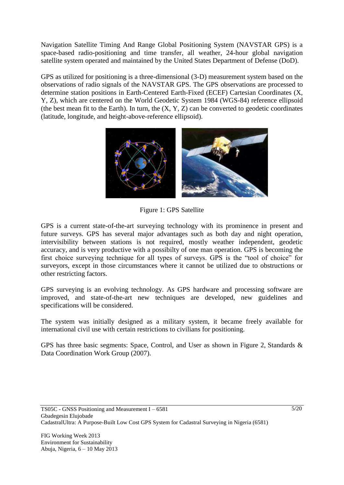Navigation Satellite Timing And Range Global Positioning System (NAVSTAR GPS) is a space-based radio-positioning and time transfer, all weather, 24-hour global navigation satellite system operated and maintained by the United States Department of Defense (DoD).

GPS as utilized for positioning is a three-dimensional (3-D) measurement system based on the observations of radio signals of the NAVSTAR GPS. The GPS observations are processed to determine station positions in Earth-Centered Earth-Fixed (ECEF) Cartesian Coordinates (X, Y, Z), which are centered on the World Geodetic System 1984 (WGS-84) reference ellipsoid (the best mean fit to the Earth). In turn, the  $(X, Y, Z)$  can be converted to geodetic coordinates (latitude, longitude, and height-above-reference ellipsoid).



Figure 1: GPS Satellite

GPS is a current state-of-the-art surveying technology with its prominence in present and future surveys. GPS has several major advantages such as both day and night operation, intervisibility between stations is not required, mostly weather independent, geodetic accuracy, and is very productive with a possibilty of one man operation. GPS is becoming the first choice surveying technique for all types of surveys. GPS is the "tool of choice" for surveyors, except in those circumstances where it cannot be utilized due to obstructions or other restricting factors.

GPS surveying is an evolving technology. As GPS hardware and processing software are improved, and state-of-the-art new techniques are developed, new guidelines and specifications will be considered.

The system was initially designed as a military system, it became freely available for international civil use with certain restrictions to civilians for positioning.

GPS has three basic segments: Space, Control, and User as shown in Figure 2, Standards & Data Coordination Work Group (2007).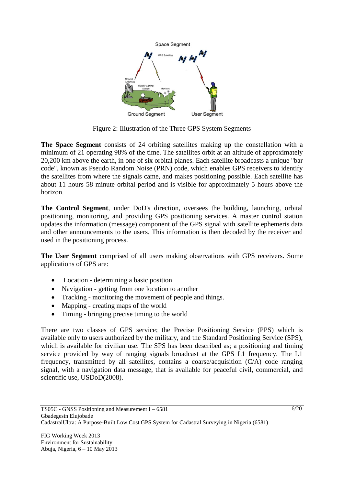

Figure 2: Illustration of the Three GPS System Segments

**The Space Segment** consists of 24 orbiting satellites making up the constellation with a minimum of 21 operating 98% of the time. The satellites orbit at an altitude of approximately 20,200 km above the earth, in one of six orbital planes. Each satellite broadcasts a unique "bar code", known as Pseudo Random Noise (PRN) code, which enables GPS receivers to identify the satellites from where the signals came, and makes positioning possible. Each satellite has about 11 hours 58 minute orbital period and is visible for approximately 5 hours above the horizon.

**The Control Segment**, under DoD's direction, oversees the building, launching, orbital positioning, monitoring, and providing GPS positioning services. A master control station updates the information (message) component of the GPS signal with satellite ephemeris data and other announcements to the users. This information is then decoded by the receiver and used in the positioning process.

**The User Segment** comprised of all users making observations with GPS receivers. Some applications of GPS are:

- Location determining a basic position
- Navigation getting from one location to another
- Tracking monitoring the movement of people and things.
- Mapping creating maps of the world
- Timing bringing precise timing to the world

There are two classes of GPS service; the Precise Positioning Service (PPS) which is available only to users authorized by the military, and the Standard Positioning Service (SPS), which is available for civilian use. The SPS has been described as; a positioning and timing service provided by way of ranging signals broadcast at the GPS L1 frequency. The L1 frequency, transmitted by all satellites, contains a coarse/acquisition (C/A) code ranging signal, with a navigation data message, that is available for peaceful civil, commercial, and scientific use, USDoD(2008).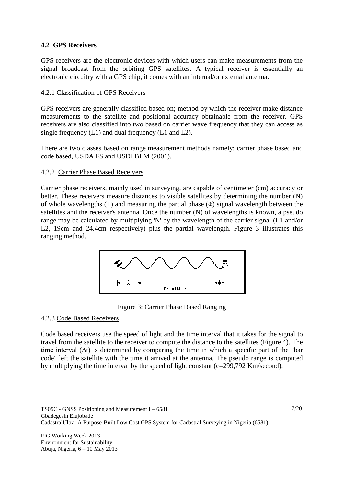## **4.2 GPS Receivers**

GPS receivers are the electronic devices with which users can make measurements from the signal broadcast from the orbiting GPS satellites. A typical receiver is essentially an electronic circuitry with a GPS chip, it comes with an internal/or external antenna.

## 4.2.1 Classification of GPS Receivers

GPS receivers are generally classified based on; method by which the receiver make distance measurements to the satellite and positional accuracy obtainable from the receiver. GPS receivers are also classified into two based on carrier wave frequency that they can access as single frequency (L1) and dual frequency (L1 and L2).

There are two classes based on range measurement methods namely; carrier phase based and code based, USDA FS and USDI BLM (2001).

## 4.2.2 Carrier Phase Based Receivers

Carrier phase receivers, mainly used in surveying, are capable of centimeter (cm) accuracy or better. These receivers measure distances to visible satellites by determining the number (N) of whole wavelengths (1) and measuring the partial phase  $(\Phi)$  signal wavelength between the satellites and the receiver's antenna. Once the number (N) of wavelengths is known, a pseudo range may be calculated by multiplying 'N' by the wavelength of the carrier signal (L1 and/or L2, 19cm and 24.4cm respectively) plus the partial wavelength. Figure 3 illustrates this ranging method.



Figure 3: Carrier Phase Based Ranging

#### 4.2.3 Code Based Receivers

Code based receivers use the speed of light and the time interval that it takes for the signal to travel from the satellite to the receiver to compute the distance to the satellites (Figure 4). The time interval  $(\Delta t)$  is determined by comparing the time in which a specific part of the "bar" code" left the satellite with the time it arrived at the antenna. The pseudo range is computed by multiplying the time interval by the speed of light constant (c=299,792 Km/second).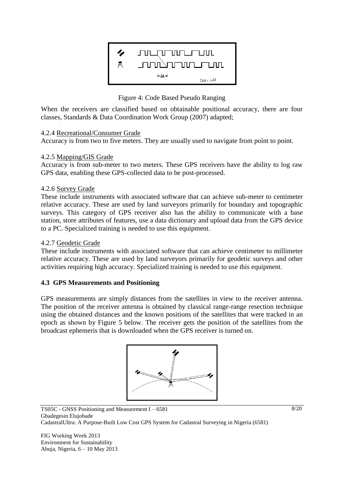

Figure 4: Code Based Pseudo Ranging

When the receivers are classified based on obtainable positional accuracy, there are four classes, Standards & Data Coordination Work Group (2007) adapted;

## 4.2.4 Recreational/Consumer Grade

Accuracy is from two to five meters. They are usually used to navigate from point to point.

#### 4.2.5 Mapping/GIS Grade

Accuracy is from sub-meter to two meters. These GPS receivers have the ability to log raw GPS data, enabling these GPS-collected data to be post-processed.

#### 4.2.6 Survey Grade

These include instruments with associated software that can achieve sub-meter to centimeter relative accuracy. These are used by land surveyors primarily for boundary and topographic surveys. This category of GPS receiver also has the ability to communicate with a base station, store attributes of features, use a data dictionary and upload data from the GPS device to a PC. Specialized training is needed to use this equipment.

#### 4.2.7 Geodetic Grade

These include instruments with associated software that can achieve centimeter to millimeter relative accuracy. These are used by land surveyors primarily for geodetic surveys and other activities requiring high accuracy. Specialized training is needed to use this equipment.

## **4.3 GPS Measurements and Positioning**

GPS measurements are simply distances from the satellites in view to the receiver antenna. The position of the receiver antenna is obtained by classical range-range resection technique using the obtained distances and the known positions of the satellites that were tracked in an epoch as shown by Figure 5 below. The receiver gets the position of the satellites from the broadcast ephemeris that is downloaded when the GPS receiver is turned on.



FIG Working Week 2013 Environment for Sustainability Abuja, Nigeria, 6 – 10 May 2013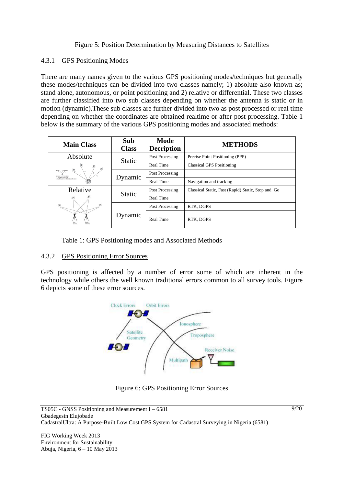## Figure 5: Position Determination by Measuring Distances to Satellites

#### 4.3.1 GPS Positioning Modes

There are many names given to the various GPS positioning modes/techniques but generally these modes/techniques can be divided into two classes namely; 1) absolute also known as; stand alone, autonomous, or point positioning and 2) relative or differential. These two classes are further classified into two sub classes depending on whether the antenna is static or in motion (dynamic).These sub classes are further divided into two as post processed or real time depending on whether the coordinates are obtained realtime or after post processing. Table 1 below is the summary of the various GPS positioning modes and associated methods:

| <b>Main Class</b>                                                                                                                                     | <b>Sub</b><br><b>Class</b> | Mode<br><b>Decription</b> | <b>METHODS</b>                                     |
|-------------------------------------------------------------------------------------------------------------------------------------------------------|----------------------------|---------------------------|----------------------------------------------------|
| Absolute                                                                                                                                              | <b>Static</b>              | Post Processing           | Precise Point Positioning (PPP)                    |
| 萝                                                                                                                                                     |                            | Real Time                 | <b>Classical GPS Positioning</b>                   |
| Energy X, Y, Z is stallites)<br>+ B ., B ., B ., R,<br>Ikknown: X, Y, Z iroceivar)<br>receiver clark error<br>latinstal accuracy. 22n 00% of the time | Dynamic                    | Post Processing           |                                                    |
|                                                                                                                                                       |                            | Real Time                 | Navigation and tracking                            |
| Relative                                                                                                                                              | <b>Static</b>              | Post Processing           | Classical Static, Fast (Rapid) Static, Stop and Go |
|                                                                                                                                                       |                            | Real Time                 |                                                    |
|                                                                                                                                                       |                            | Post Processing           | RTK, DGPS                                          |
|                                                                                                                                                       | Dynamic                    | Real Time                 | RTK, DGPS                                          |

Table 1: GPS Positioning modes and Associated Methods

## 4.3.2 GPS Positioning Error Sources

GPS positioning is affected by a number of error some of which are inherent in the technology while others the well known traditional errors common to all survey tools. Figure 6 depicts some of these error sources.



Figure 6: GPS Positioning Error Sources

FIG Working Week 2013 Environment for Sustainability Abuja, Nigeria, 6 – 10 May 2013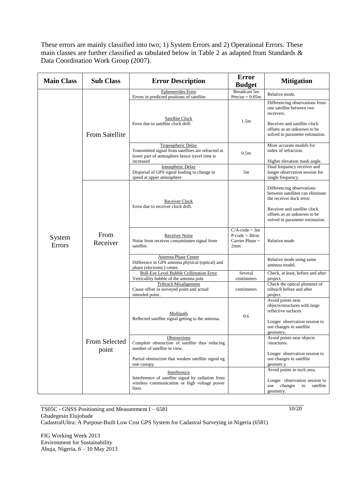These errors are mainly classified into two; 1) System Errors and 2) Operational Errors. These main classes are further classified as tabulated below in Table 2 as adapted from Standards & Data Coordination Work Group (2007).

| <b>Main Class</b> | <b>Sub Class</b>                           | <b>Error Description</b>                                                                                                                | <b>Error</b><br><b>Budget</b>                                          | <b>Mitigation</b>                                                                                                                                                           |
|-------------------|--------------------------------------------|-----------------------------------------------------------------------------------------------------------------------------------------|------------------------------------------------------------------------|-----------------------------------------------------------------------------------------------------------------------------------------------------------------------------|
|                   |                                            | Ephemerides Error<br>Errors in predicted positions of satellite.                                                                        | Broadcast 5m<br>Precise = $0.05m$                                      | Relative mode.                                                                                                                                                              |
|                   | <b>From Satellite</b>                      | <b>Satellite Clock</b><br>Error due to satellite clock drift                                                                            | 1.5 <sub>m</sub>                                                       | Differencing observations from<br>one satellite between two<br>receivers.<br>Receiver and satellite clock<br>offsets as an unknown to be<br>solved in parameter estimation. |
|                   |                                            | Tropospheric Delay<br>Transmitted signal from satellites are refracted at<br>lower part of atmosphere hence travel time is<br>increased | 0.5 <sub>m</sub>                                                       | More accurate models for<br>index of refraction.<br>Higher elevation mask angle.                                                                                            |
|                   |                                            | Ionospheric Delay<br>Dispersal of GPS signal leading to change in<br>speed at upper atmosphere                                          | 5m                                                                     | Dual frequency receiver and<br>longer observation session for<br>single frequency.                                                                                          |
|                   |                                            | Receiver Clock<br>Error due to receiver clock drift.                                                                                    |                                                                        | Differencing observations<br>between satellites can eliminate<br>the receiver dock error.<br>Receiver and satellite clock                                                   |
| System<br>Errors  | From<br>Receiver<br>From Selected<br>point |                                                                                                                                         |                                                                        | offsets as an unknown to be<br>solved in parameter estimation.                                                                                                              |
|                   |                                            | Receiver Noise<br>Noise from receiver contaminates signal from<br>satellite.                                                            | $C/A$ -code = 3m<br>$P\text{-code} = 30cm$<br>Carrier Phase $=$<br>2mm | Relative mode                                                                                                                                                               |
|                   |                                            | Antenna Phase Center<br>Difference in GPS antenna physical (optical) and<br>phase (electronic) center.                                  |                                                                        | Relative mode using same<br>antenna model.                                                                                                                                  |
|                   |                                            | <b>Bull-Eye Level Bubble Collimation Error</b><br>Verticallity bubble of the antenna pole                                               | Several<br>centimeters                                                 | Check, at least, before and after<br>project.                                                                                                                               |
|                   |                                            | <b>Tribrach Misalignment</b><br>Cause offset in surveyed point and actual<br>intended point                                             | centimeters                                                            | Check the optical plummet of<br>tribrach before and after<br>project.                                                                                                       |
|                   |                                            | Multipath                                                                                                                               | 0.6                                                                    | Avoid points near<br>objects/structures with large<br>reflective surfaces.                                                                                                  |
|                   |                                            | Reflected satellite signal getting to the antenna.                                                                                      |                                                                        | Longer observation session to<br>use changes in satellite<br>geometry.                                                                                                      |
|                   |                                            | Obstructions<br>Complete obstruction of satellite thus reducing<br>number of satellite in view.                                         |                                                                        | Avoid points near objects<br>/structures.<br>Longer observation session to                                                                                                  |
|                   |                                            | Partial obstruction that weaken satellite signal eg<br>tree canopy.                                                                     |                                                                        | use changes in satellite<br>geometr.y                                                                                                                                       |
|                   |                                            | Interference<br>Interference of satellite signal by radiation from<br>wireless communication or high voltage power<br>lines.            |                                                                        | Avoid points in such area.<br>Longer observation session to<br>use changes<br>in<br>satellite<br>geometry.                                                                  |

TS05C - GNSS Positioning and Measurement I – 6581 Gbadegesin Elujobade CadastralUltra: A Purpose-Built Low Cost GPS System for Cadastral Surveying in Nigeria (6581)

FIG Working Week 2013 Environment for Sustainability Abuja, Nigeria, 6 – 10 May 2013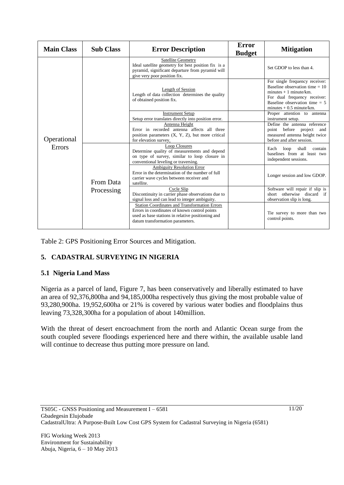| <b>Main Class</b>     | <b>Sub Class</b> | <b>Error Description</b>                                                                                                                                                                       | <b>Error</b><br><b>Budget</b> | <b>Mitigation</b>                                                                                                                                                                             |
|-----------------------|------------------|------------------------------------------------------------------------------------------------------------------------------------------------------------------------------------------------|-------------------------------|-----------------------------------------------------------------------------------------------------------------------------------------------------------------------------------------------|
| Operational<br>Errors |                  | <b>Satellite Geometry</b><br>Ideal satellite geometry for best position fix is a<br>pyramid, significant departure from pyramid will<br>give very poor position fix.                           |                               | Set GDOP to less than 4.                                                                                                                                                                      |
|                       |                  | Length of Session<br>Length of data collection determines the quality<br>of obtained position fix.                                                                                             |                               | For single frequency receiver:<br>Baseline observation time $= 10$<br>minutes $+1$ minute/km.<br>For dual frequency receiver:<br>Baseline observation time $= 5$<br>minutes $+0.5$ minute/km. |
|                       |                  | <b>Instrument Setup</b><br>Setup error translates directly into position error.                                                                                                                |                               | Proper attention to antenna<br>instrument setup.                                                                                                                                              |
|                       |                  | Antenna Height<br>Error in recorded antenna affects all three<br>position parameters (X, Y, Z), but more critical<br>for elevation survey.                                                     |                               | Define the antenna reference<br>point before project and<br>measured antenna height twice<br>before and after session.                                                                        |
|                       |                  | <b>Loop Closures</b><br>Determine quality of measurements and depend<br>on type of survey, similar to loop closure in<br>conventional leveling or traversing.                                  |                               | loop<br>shall<br>Each<br>contain<br>baselines from at least two<br>independent sessions.                                                                                                      |
|                       | From Data        | <b>Ambiguity Resolution Error</b><br>Error in the determination of the number of full<br>carrier wave cycles between receiver and<br>satellite.                                                |                               | Longer session and low GDOP.                                                                                                                                                                  |
|                       | Processing       | Cycle Slip<br>Discontinuity in carrier phase observations due to<br>signal loss and can lead to integer ambiguity.                                                                             |                               | Software will repair if slip is<br>short otherwise discard if<br>observation slip is long.                                                                                                    |
|                       |                  | <b>Station Coordinates and Transformation Errors</b><br>Errors in coordinates of known control points<br>used as base stations in relative positioning and<br>datum transformation parameters. |                               | Tie survey to more than two<br>control points.                                                                                                                                                |

Table 2: GPS Positioning Error Sources and Mitigation.

# **5. CADASTRAL SURVEYING IN NIGERIA**

## **5.1 Nigeria Land Mass**

Nigeria as a parcel of land, Figure 7, has been conservatively and liberally estimated to have an area of 92,376,800ha and 94,185,000ha respectively thus giving the most probable value of 93,280,900ha. 19,952,600ha or 21% is covered by various water bodies and floodplains thus leaving 73,328,300ha for a population of about 140million.

With the threat of desert encroachment from the north and Atlantic Ocean surge from the south coupled severe floodings experienced here and there within, the available usable land will continue to decrease thus putting more pressure on land.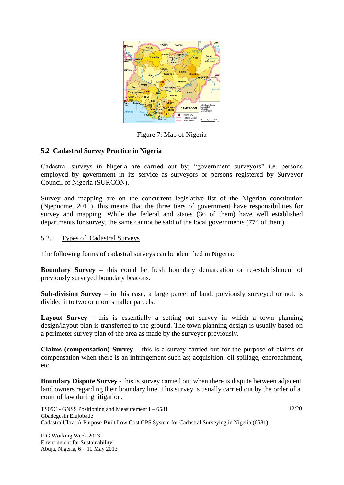

Figure 7: Map of Nigeria

## **5.2 Cadastral Survey Practice in Nigeria**

Cadastral surveys in Nigeria are carried out by; "government surveyors" i.e. persons employed by government in its service as surveyors or persons registered by Surveyor Council of Nigeria (SURCON).

Survey and mapping are on the concurrent legislative list of the Nigerian constitution (Njepuome, 2011), this means that the three tiers of government have responsibilities for survey and mapping. While the federal and states (36 of them) have well established departments for survey, the same cannot be said of the local governments (774 of them).

#### 5.2.1 Types of Cadastral Surveys

The following forms of cadastral surveys can be identified in Nigeria:

**Boundary Survey –** this could be fresh boundary demarcation or re-establishment of previously surveyed boundary beacons.

**Sub-division Survey** – in this case, a large parcel of land, previously surveyed or not, is divided into two or more smaller parcels.

**Layout Survey** - this is essentially a setting out survey in which a town planning design/layout plan is transferred to the ground. The town planning design is usually based on a perimeter survey plan of the area as made by the surveyor previously.

**Claims (compensation) Survey** – this is a survey carried out for the purpose of claims or compensation when there is an infringement such as; acquisition, oil spillage, encroachment, etc.

**Boundary Dispute Survey** - this is survey carried out when there is dispute between adjacent land owners regarding their boundary line. This survey is usually carried out by the order of a court of law during litigation.

FIG Working Week 2013 Environment for Sustainability Abuja, Nigeria, 6 – 10 May 2013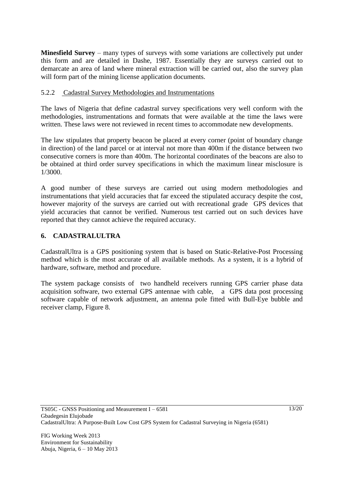**Minesfield Survey** – many types of surveys with some variations are collectively put under this form and are detailed in Dashe, 1987. Essentially they are surveys carried out to demarcate an area of land where mineral extraction will be carried out, also the survey plan will form part of the mining license application documents.

#### 5.2.2 Cadastral Survey Methodologies and Instrumentations

The laws of Nigeria that define cadastral survey specifications very well conform with the methodologies, instrumentations and formats that were available at the time the laws were written. These laws were not reviewed in recent times to accommodate new developments.

The law stipulates that property beacon be placed at every corner (point of boundary change in direction) of the land parcel or at interval not more than 400m if the distance between two consecutive corners is more than 400m. The horizontal coordinates of the beacons are also to be obtained at third order survey specifications in which the maximum linear misclosure is 1/3000.

A good number of these surveys are carried out using modern methodologies and instrumentations that yield accuracies that far exceed the stipulated accuracy despite the cost, however majority of the surveys are carried out with recreational grade GPS devices that yield accuracies that cannot be verified. Numerous test carried out on such devices have reported that they cannot achieve the required accuracy.

## **6. CADASTRALULTRA**

CadastralUltra is a GPS positioning system that is based on Static-Relative-Post Processing method which is the most accurate of all available methods. As a system, it is a hybrid of hardware, software, method and procedure.

The system package consists of two handheld receivers running GPS carrier phase data acquisition software, two external GPS antennae with cable, a GPS data post processing software capable of network adjustment, an antenna pole fitted with Bull-Eye bubble and receiver clamp, Figure 8.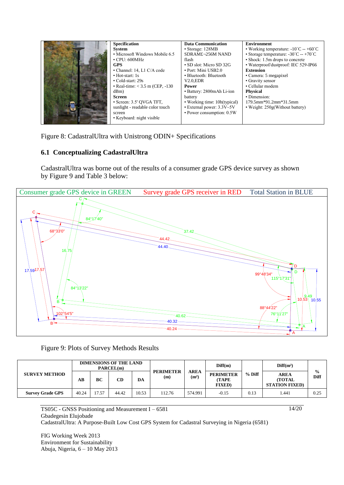| <b>Specification</b>               | <b>Data Communication</b>    | <b>Environment</b>                                        |
|------------------------------------|------------------------------|-----------------------------------------------------------|
| System                             | • Storage: 128MB             | • Working temperature: $-10^{\circ}$ C -- $+60^{\circ}$ C |
| • Microsoft Windows Mobile 6.5     | SDRAM£ $\neg$ 256M NAND      | • Storage temperature: $-30^{\circ}$ C $-+70^{\circ}$ C   |
| $\cdot$ CPU: 600MHz                | flash                        | • Shock: 1.5m drops to concrete                           |
| <b>GPS</b>                         | • SD slot: Micro SD 32G      | • Waterproof/dustproof: IEC 529-IP66                      |
| • Channel: 14, L1 C/A code         | • Port: Mini USB2.0          | <b>Extension</b>                                          |
| $\bullet$ Hot-start: 1s            | • Bluetooth: Bluetooth       | • Camera: 5 megapixel                                     |
| • Cold-start: 29s                  | $V2.0$ . $EDR$               | • Gravity sensor                                          |
| • Real-time: $<$ 3.5 m (CEP, -130) | Power                        | • Cellular modem                                          |
| dBm)                               | • Battery: 2800mAh Li-ion    | <b>Physical</b>                                           |
| Screen                             | battery                      | • Dimension:                                              |
| • Screen: 3.5' OVGA TFT,           | • Working time: 10h(typical) | $179.5$ mm*91.2mm*31.5mm                                  |
| sunlight - readable color touch    | • External power: 3.3V~5V    | • Weight: 250g(Without battery)                           |
| screen                             | • Power consumption: 0.5W    |                                                           |
| • Keyboard: night visible          |                              |                                                           |

Figure 8: CadastralUltra with Unistrong ODIN+ Specifications

## **6.1 Conceptualizing CadastralUltra**

CadastralUltra was borne out of the results of a consumer grade GPS device survey as shown by Figure 9 and Table 3 below:



Figure 9: Plots of Survey Methods Results

|                         | <b>DIMENSIONS OF THE LAND</b><br>PARCEL(m) |      |       |       |                         | Diff(m)                          |                                                     | Diff(m <sup>2</sup> ) |                                                        |                       |
|-------------------------|--------------------------------------------|------|-------|-------|-------------------------|----------------------------------|-----------------------------------------------------|-----------------------|--------------------------------------------------------|-----------------------|
| <b>SURVEY METHOD</b>    | $\overline{AB}$                            | BC   | CD    | DА    | <b>PERIMETER</b><br>(m) | <b>AREA</b><br>(m <sup>2</sup> ) | <b>PERIMETER</b><br><b>(TAPE)</b><br><b>FIXED</b> ) | $%$ Diff              | <b>AREA</b><br><b>(TOTAL)</b><br><b>STATION FIXED)</b> | $\frac{0}{0}$<br>Diff |
| <b>Survey Grade GPS</b> | 40.24                                      | 7.57 | 44.42 | 10.53 | 112.76                  | 574.991                          | $-0.15$                                             | 0.13                  | . 441                                                  | 0.25                  |

14/20

TS05C - GNSS Positioning and Measurement I – 6581 Gbadegesin Elujobade CadastralUltra: A Purpose-Built Low Cost GPS System for Cadastral Surveying in Nigeria (6581)

FIG Working Week 2013 Environment for Sustainability Abuja, Nigeria, 6 – 10 May 2013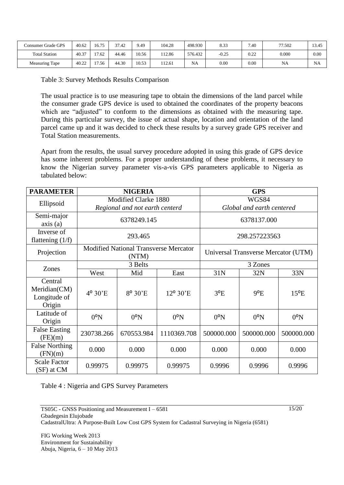| Consumer Grade GPS   | 40.62 | $16.7^{\circ}$ | 27<br>7.42 | 9.49  | 104.28 | 498.930   | 8.33    | 7.40                     | 77.502 | 13.45     |
|----------------------|-------|----------------|------------|-------|--------|-----------|---------|--------------------------|--------|-----------|
| <b>Total Station</b> | 40.37 | 17.62          | 44.46      | 10.56 | 112.86 | 576.432   | $-0.25$ | 0.22<br>$v.\Delta\Delta$ | 0.000  | 0.00      |
| Measuring Tape       | 40.22 | 7.56           | 44.30      | 10.53 | 112.61 | <b>NA</b> | 0.00    | 0.00                     | NA     | <b>NA</b> |

Table 3: Survey Methods Results Comparison

The usual practice is to use measuring tape to obtain the dimensions of the land parcel while the consumer grade GPS device is used to obtained the coordinates of the property beacons which are "adjusted" to conform to the dimensions as obtained with the measuring tape. During this particular survey, the issue of actual shape, location and orientation of the land parcel came up and it was decided to check these results by a survey grade GPS receiver and Total Station measurements.

Apart from the results, the usual survey procedure adopted in using this grade of GPS device has some inherent problems. For a proper understanding of these problems, it necessary to know the Nigerian survey parameter vis-a-vis GPS parameters applicable to Nigeria as tabulated below:

| <b>PARAMETER</b>                                  |              | <b>NIGERIA</b>                                         |              |                                     | <b>GPS</b>   |               |  |
|---------------------------------------------------|--------------|--------------------------------------------------------|--------------|-------------------------------------|--------------|---------------|--|
| Ellipsoid                                         |              | Modified Clarke 1880<br>Regional and not earth centerd |              | WGS84<br>Global and earth centered  |              |               |  |
| Semi-major<br>axis(a)                             |              | 6378249.145                                            |              | 6378137.000                         |              |               |  |
| Inverse of<br>flattening $(1/f)$                  |              | 293.465                                                |              | 298.257223563                       |              |               |  |
| Projection                                        |              | <b>Modified National Transverse Mercator</b><br>(NTM)  |              | Universal Transverse Mercator (UTM) |              |               |  |
| Zones                                             |              | 3 Belts                                                |              | 3 Zones                             |              |               |  |
|                                                   | West         | Mid                                                    | East         | 31N                                 | 32N          | 33N           |  |
| Central<br>Meridian(CM)<br>Longitude of<br>Origin | 4° 30'E      | 8° 30'E                                                | 12° 30'E     | $3^{\circ}E$                        | $9^{\circ}E$ | $15^{\circ}E$ |  |
| Latitude of<br>Origin                             | $0^{\circ}N$ | $0^{\circ}N$                                           | $0^{\circ}N$ | $0^{\circ}N$                        | $0^{\circ}N$ | $0^{\circ}N$  |  |
| <b>False Easting</b><br>(FE)(m)                   | 230738.266   | 670553.984                                             |              | 500000.000                          | 500000.000   | 500000.000    |  |
| <b>False Northing</b><br>(FN)(m)                  | 0.000        | 0.000                                                  | 0.000        | 0.000                               | 0.000        | 0.000         |  |
| <b>Scale Factor</b><br>(SF) at CM                 | 0.99975      | 0.99975                                                | 0.99975      | 0.9996                              | 0.9996       | 0.9996        |  |

Table 4 : Nigeria and GPS Survey Parameters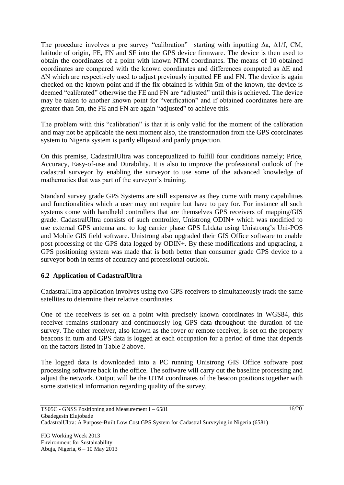The procedure involves a pre survey "calibration" starting with inputting ∆a, ∆1/f, CM, latitude of origin, FE, FN and SF into the GPS device firmware. The device is then used to obtain the coordinates of a point with known NTM coordinates. The means of 10 obtained coordinates are compared with the known coordinates and differences computed as ∆E and ∆N which are respectively used to adjust previously inputted FE and FN. The device is again checked on the known point and if the fix obtained is within 5m of the known, the device is deemed "calibrated" otherwise the FE and FN are "adjusted" until this is achieved. The device may be taken to another known point for "verification" and if obtained coordinates here are greater than 5m, the FE and FN are again "adjusted" to achieve this.

The problem with this "calibration" is that it is only valid for the moment of the calibration and may not be applicable the next moment also, the transformation from the GPS coordinates system to Nigeria system is partly ellipsoid and partly projection.

On this premise, CadastralUltra was conceptualized to fulfill four conditions namely; Price, Accuracy, Easy-of-use and Durability. It is also to improve the professional outlook of the cadastral surveyor by enabling the surveyor to use some of the advanced knowledge of mathematics that was part of the surveyor's training.

Standard survey grade GPS Systems are still expensive as they come with many capabilities and functionalities which a user may not require but have to pay for. For instance all such systems come with handheld controllers that are themselves GPS receivers of mapping/GIS grade. CadastralUltra consists of such controller, Unistrong ODIN+ which was modified to use external GPS antenna and to log carrier phase GPS L1data using Unistrong's Uni-POS and Mobile GIS field software. Unistrong also upgraded their GIS Office software to enable post processing of the GPS data logged by ODIN+. By these modifications and upgrading, a GPS positioning system was made that is both better than consumer grade GPS device to a surveyor both in terms of accuracy and professional outlook.

## **6.2 Application of CadastralUltra**

CadastralUltra application involves using two GPS receivers to simultaneously track the same satellites to determine their relative coordinates.

One of the receivers is set on a point with precisely known coordinates in WGS84, this receiver remains stationary and continuously log GPS data throughout the duration of the survey. The other receiver, also known as the rover or remote receiver, is set on the property beacons in turn and GPS data is logged at each occupation for a period of time that depends on the factors listed in Table 2 above.

The logged data is downloaded into a PC running Unistrong GIS Office software post processing software back in the office. The software will carry out the baseline processing and adjust the network. Output will be the UTM coordinates of the beacon positions together with some statistical information regarding quality of the survey.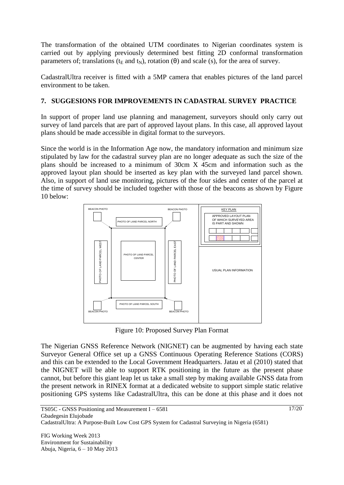The transformation of the obtained UTM coordinates to Nigerian coordinates system is carried out by applying previously determined best fitting 2D conformal transformation parameters of; translations ( $t_E$  and  $t_N$ ), rotation ( $\theta$ ) and scale (s), for the area of survey.

CadastralUltra receiver is fitted with a 5MP camera that enables pictures of the land parcel environment to be taken.

# **7. SUGGESIONS FOR IMPROVEMENTS IN CADASTRAL SURVEY PRACTICE**

In support of proper land use planning and management, surveyors should only carry out survey of land parcels that are part of approved layout plans. In this case, all approved layout plans should be made accessible in digital format to the surveyors.

Since the world is in the Information Age now, the mandatory information and minimum size stipulated by law for the cadastral survey plan are no longer adequate as such the size of the plans should be increased to a minimum of 30cm X 45cm and information such as the approved layout plan should be inserted as key plan with the surveyed land parcel shown. Also, in support of land use monitoring, pictures of the four sides and center of the parcel at the time of survey should be included together with those of the beacons as shown by Figure 10 below:



Figure 10: Proposed Survey Plan Format

The Nigerian GNSS Reference Network (NIGNET) can be augmented by having each state Surveyor General Office set up a GNSS Continuous Operating Reference Stations (CORS) and this can be extended to the Local Government Headquarters. Jatau et al (2010) stated that the NIGNET will be able to support RTK positioning in the future as the present phase cannot, but before this giant leap let us take a small step by making available GNSS data from the present network in RINEX format at a dedicated website to support simple static relative positioning GPS systems like CadastralUltra, this can be done at this phase and it does not

FIG Working Week 2013 Environment for Sustainability Abuja, Nigeria, 6 – 10 May 2013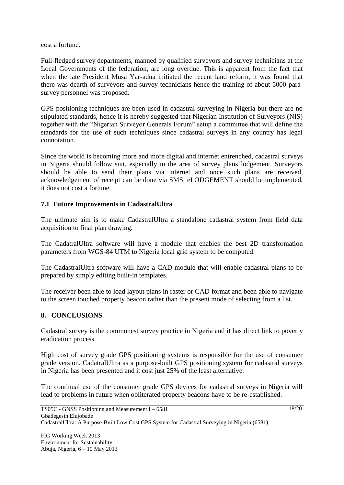cost a fortune.

Full-fledged survey departments, manned by qualified surveyors and survey technicians at the Local Governments of the federation, are long overdue. This is apparent from the fact that when the late President Musa Yar-adua initiated the recent land reform, it was found that there was dearth of surveyors and survey technicians hence the training of about 5000 parasurvey personnel was proposed.

GPS positioning techniques are been used in cadastral surveying in Nigeria but there are no stipulated standards, hence it is hereby suggested that Nigerian Institution of Surveyors (NIS) together with the "Nigerian Surveyor Generals Forum" setup a committee that will define the standards for the use of such techniques since cadastral surveys in any country has legal connotation.

Since the world is becoming more and more digital and internet entrenched, cadastral surveys in Nigeria should follow suit, especially in the area of survey plans lodgement. Surveyors should be able to send their plans via internet and once such plans are received, acknowledgement of receipt can be done via SMS. eLODGEMENT should be implemented, it does not cost a fortune.

# **7.1 Future Improvements in CadastralUltra**

The ultimate aim is to make CadastralUltra a standalone cadastral system from field data acquisition to final plan drawing.

The CadatralUltra software will have a module that enables the best 2D transformation parameters from WGS-84 UTM to Nigeria local grid system to be computed.

The CadastralUltra software will have a CAD module that will enable cadastral plans to be prepared by simply editing built-in templates.

The receiver been able to load layout plans in raster or CAD format and been able to navigate to the screen touched property beacon rather than the present mode of selecting from a list.

# **8. CONCLUSIONS**

Cadastral survey is the commonest survey practice in Nigeria and it has direct link to poverty eradication process.

High cost of survey grade GPS positioning systems is responsible for the use of consumer grade version. CadatralUltra as a purpose-built GPS positioning system for cadastral surveys in Nigeria has been presented and it cost just 25% of the least alternative.

The continual use of the consumer grade GPS devices for cadastral surveys in Nigeria will lead to problems in future when obliterated property beacons have to be re-established.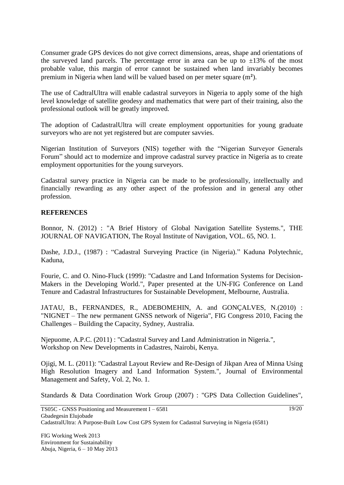Consumer grade GPS devices do not give correct dimensions, areas, shape and orientations of the surveyed land parcels. The percentage error in area can be up to  $\pm 13\%$  of the most probable value, this margin of error cannot be sustained when land invariably becomes premium in Nigeria when land will be valued based on per meter square (m²).

The use of CadtralUltra will enable cadastral surveyors in Nigeria to apply some of the high level knowledge of satellite geodesy and mathematics that were part of their training, also the professional outlook will be greatly improved.

The adoption of CadastralUltra will create employment opportunities for young graduate surveyors who are not yet registered but are computer savvies.

Nigerian Institution of Surveyors (NIS) together with the "Nigerian Surveyor Generals Forum" should act to modernize and improve cadastral survey practice in Nigeria as to create employment opportunities for the young surveyors.

Cadastral survey practice in Nigeria can be made to be professionally, intellectually and financially rewarding as any other aspect of the profession and in general any other profession.

#### **REFERENCES**

Bonnor, N. (2012) : "A Brief History of Global Navigation Satellite Systems.", THE JOURNAL OF NAVIGATION, The Royal Institute of Navigation, VOL. 65, NO. 1.

Dashe, J.D.J., (1987) : "Cadastral Surveying Practice (in Nigeria)." Kaduna Polytechnic, Kaduna,

Fourie, C. and O. Nino-Fluck (1999): "Cadastre and Land Information Systems for Decision-Makers in the Developing World.", Paper presented at the UN-FIG Conference on Land Tenure and Cadastral Infrastructures for Sustainable Development, Melbourne, Australia.

JATAU, B., FERNANDES, R., ADEBOMEHIN, A. and GONÇALVES, N.(2010) : "NIGNET – The new permanent GNSS network of Nigeria", FIG Congress 2010, Facing the Challenges – Building the Capacity, Sydney, Australia.

Njepuome, A.P.C. (2011) : "Cadastral Survey and Land Administration in Nigeria.", Workshop on New Developments in Cadastres, Nairobi, Kenya.

Ojigi, M. L. (2011): "Cadastral Layout Review and Re-Design of Jikpan Area of Minna Using High Resolution Imagery and Land Information System.", Journal of Environmental Management and Safety, Vol. 2, No. 1.

Standards & Data Coordination Work Group (2007) : "GPS Data Collection Guidelines",